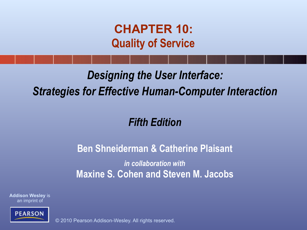**CHAPTER 10: Quality of Service**

#### *Designing the User Interface: Strategies for Effective Human-Computer Interaction*

#### *Fifth Edition*

#### **Ben Shneiderman & Catherine Plaisant**

*in collaboration with* **Maxine S. Cohen and Steven M. Jacobs**

**Addison Wesley** is an imprint of

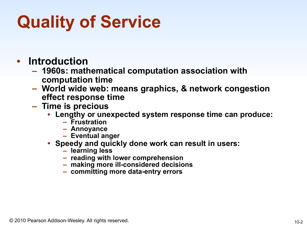# **Quality of Service**

- **Introduction**
	- **– 1960s: mathematical computation association with computation time**
	- **– World wide web: means graphics, & network congestion effect response time**
	- **– Time is precious** 
		- **• Lengthy or unexpected system response time can produce: – Frustration** 
			-
			- **– Annoyance**
			- **– Eventual anger**
		- **• Speedy and quickly done work can result in users: – learning less** 
			-
			- **– reading with lower comprehension – making more ill-considered decisions**
			-
			- **– committing more data-entry errors**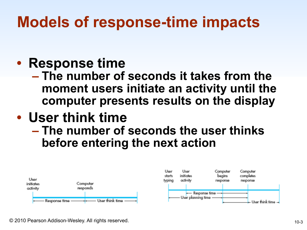#### • **Response time**

**– The number of seconds it takes from the moment users initiate an activity until the computer presents results on the display** 

#### • **User think time**

**– The number of seconds the user thinks before entering the next action** 

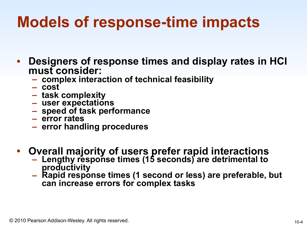- **Designers of response times and display rates in HCI must consider:** 
	- **– complex interaction of technical feasibility – cost – task complexity – user expectations – speed of task performance – error rates – error handling procedures**
	-
	-
	-
	-
	-
	-
- **Overall majority of users prefer rapid interactions** 
	- **– Lengthy response times (15 seconds) are detrimental to**
	- **productivity – Rapid response times (1 second or less) are preferable, but can increase errors for complex tasks**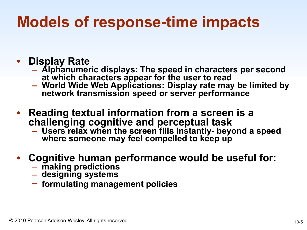- **Display Rate** 
	- **– Alphanumeric displays: The speed in characters per second**
	- **at which characters appear for the user to read – World Wide Web Applications: Display rate may be limited by network transmission speed or server performance**
- **Reading textual information from a screen is a challenging cognitive and perceptual task** 
	- **– Users relax when the screen fills instantly- beyond a speed**  where someone may feel compelled to keep up
- **Cognitive human performance would be useful for:** 
	- **– making predictions – designing systems**
	-
	- **– formulating management policies**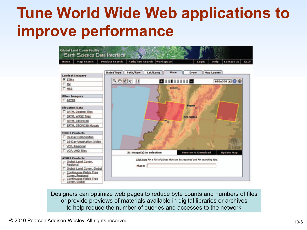#### **Tune World Wide Web applications to improve performance**



Designers can optimize web pages to reduce byte counts and numbers of files or provide previews of materials available in digital libraries or archives to help reduce the number of queries and accesses to the network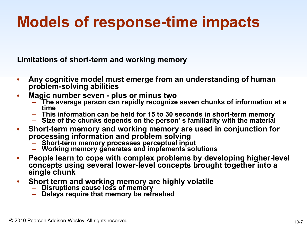**Limitations of short-term and working memory**

- **Any cognitive model must emerge from an understanding of human problem-solving abilities**
- **Magic number seven plus or minus two** 
	- **– The average person can rapidly recognize seven chunks of information at a**
	- **time – This information can be held for 15 to 30 seconds in short-term memory – Size of the chunks depends on the person' s familiarity with the material**
	-
- **Short-term memory and working memory are used in conjunction for processing information and problem solving** 
	- **– Short-term memory processes perceptual input – Working memory generates and implements solutions**
	-
- **People learn to cope with complex problems by developing higher-level concepts using several lower-level concepts brought together into a single chunk**
- **Short term and working memory are highly volatile** 
	-
	- **– Disruptions cause loss of memory – Delays require that memory be refreshed**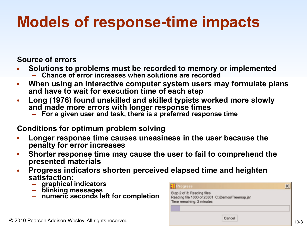**Source of errors**

- **Solutions to problems must be recorded to memory or implemented** 
	- **– Chance of error increases when solutions are recorded**
- **When using an interactive computer system users may formulate plans and have to wait for execution time of each step**
- **Long (1976) found unskilled and skilled typists worked more slowly and made more errors with longer response times** 
	- **– For a given user and task, there is a preferred response time**

#### **Conditions for optimum problem solving**

- **Longer response time causes uneasiness in the user because the penalty for error increases**
- **Shorter response time may cause the user to fail to comprehend the presented materials**
- **Progress indicators shorten perceived elapsed time and heighten satisfaction:** 
	-
	-
	- **– graphical indicators – blinking messages – numeric seconds left for completion**

| <b>El Progress</b>                                                                                         |        |  |
|------------------------------------------------------------------------------------------------------------|--------|--|
| Step 2 of 3: Reading files<br>Reading file 1000 of 25501 C:\Demos\Treemap.jar<br>Time remaining: 2 minutes |        |  |
|                                                                                                            | Cancel |  |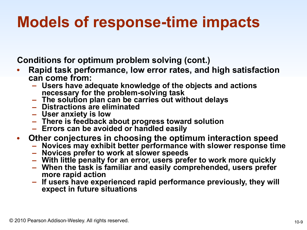**Conditions for optimum problem solving (cont.)**

- **Rapid task performance, low error rates, and high satisfaction can come from:** 
	- **– Users have adequate knowledge of the objects and actions**  necessary for the problem-solving task<br>
	- The solution plan can be carries out without delays<br>
	- Distractions are eliminated<br>
	- User anxiety is low<br>
	- There is feedback about progress toward solution<br>
	- Errors can be avoid
	-
	-
	-
	-
	-
- **Other conjectures in choosing the optimum interaction speed** 
	-
	-
	-
	- Novices prefer to work at slower speeds<br>- With little penalty for an error, users prefer to work more quickly<br>- When the task is familiar and easily comprehended, users prefer<br>more rapid action
	- **more rapid action – If users have experienced rapid performance previously, they will expect in future situations**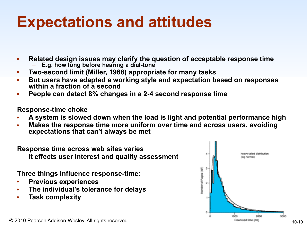#### **Expectations and attitudes**

- **Related design issues may clarify the question of acceptable response time** 
	- **– E.g. how long before hearing a dial-tone**
- **Two-second limit (Miller, 1968) appropriate for many tasks**
- **But users have adapted a working style and expectation based on responses within a fraction of a second**
- **People can detect 8% changes in a 2-4 second response time**

**Response-time choke** 

- **A system is slowed down when the load is light and potential performance high**
- **Makes the response time more uniform over time and across users, avoiding expectations that can't always be met**

**Response time across web sites varies It effects user interest and quality assessment**

**Three things influence response-time:** 

- **Previous experiences**
- **The individual's tolerance for delays**
- **Task complexity**

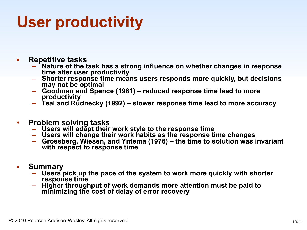### **User productivity**

- **Repetitive tasks**
	- **– Nature of the task has a strong influence on whether changes in response**
	- **the alter user alter user invertions is extended with the Shorter responds more quickly, but decisions may not be optimal**
	- **may not be optimal – Goodman and Spence (1981) reduced response time lead to more**
	- **productivity – Teal and Rudnecky (1992) slower response time lead to more accuracy**
- **Problem solving tasks**
	-
	-
	- Users will adapt their work style to the response time<br>- Users will change their work habits as the response time changes<br>- Grossberg, Wiesen, and Yntema (1976) the time to solution was invariant **with respect to response time**
- **Summary**
	- **– Users pick up the pace of the system to work more quickly with shorter**
	- **response time – Higher throughput of work demands more attention must be paid to minimizing the cost of delay of error recovery**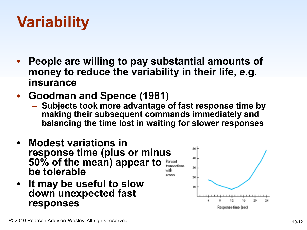### **Variability**

- **People are willing to pay substantial amounts of money to reduce the variability in their life, e.g. insurance**
- **Goodman and Spence (1981)** 
	- **– Subjects took more advantage of fast response time by making their subsequent commands immediately and balancing the time lost in waiting for slower responses**
- **• Modest variations in response time (plus or minus 50% of the mean) appear to**  Percent **be tolerable**  with errors
- **• It may be useful to slow down unexpected fast responses**

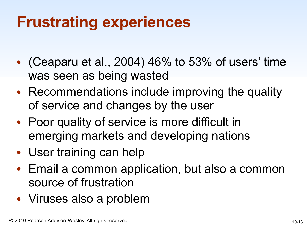#### **Frustrating experiences**

- (Ceaparu et al., 2004) 46% to 53% of users' time was seen as being wasted
- Recommendations include improving the quality of service and changes by the user
- Poor quality of service is more difficult in emerging markets and developing nations
- User training can help
- Email a common application, but also a common source of frustration
- Viruses also a problem